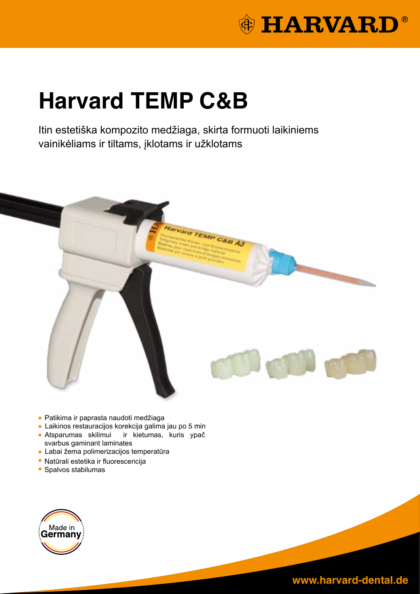

# **Harvard TEMP C&B**

Itin estetiška kompozito medžiaga, skirta formuoti laikiniems vainikėliams ir tiltams, įklotams ir užklotams



- Patikima ir paprasta naudoti medžiaga
- Laikinos restauracijos korekcija galima jau po 5 min
- Atsparumas skilimui ir kietumas, kuris ypač svarbus gaminant laminates
- Labai žema polimerizacijos temperatūra
- Natūrali estetika ir fluorescencija
- Spalvos stabilumas

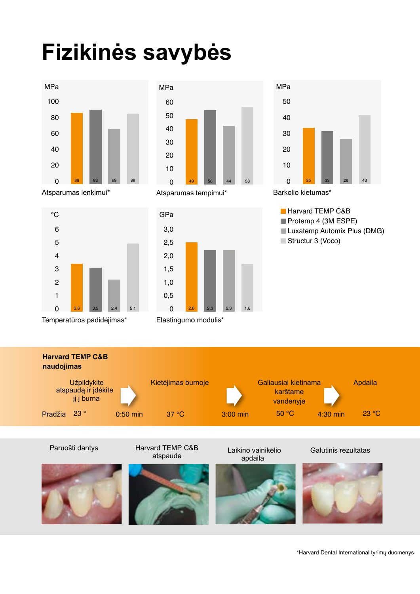# **Fizikinės savybės**





Atsparumas lenkimui\* Atsparumas tempimui\*



Temperatūros padidėjimas\* Elastingumo modulis\*

°C





Barkolio kietumas\*









Laikino vainikėlio Galutinis rezultatas

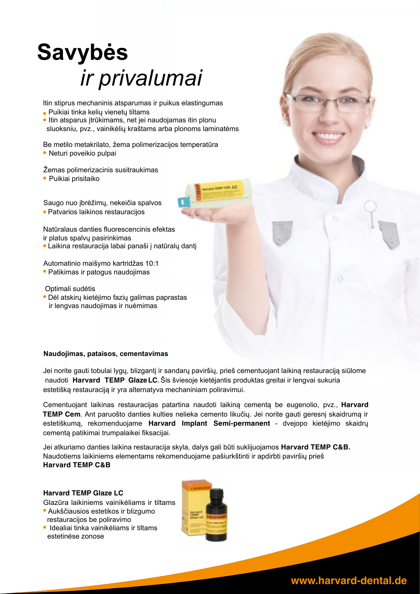# **Savybės** *ir privalumai*

Itin stiprus mechaninis atsparumas ir puikus elastingumas

- Puikiai tinka kelių vienetų tiltams
- Itin atsparus įtrūkimams, net jei naudojamas itin plonu sluoksniu, pvz., vainikėlių kraštams arba plonoms laminatėms

Be metilo metakrilato, žema polimerizacijos temperatūra • Neturi poveikio pulpai

Žemas polimerizacinis susitraukimas

Puikiai prisitaiko

Saugo nuo įbrėžimų, nekeičia spalvos Patvarios laikinos restauracijos

Natūralaus danties fluorescencinis efektas ir platus spalvų pasirinkimas

Laikina restauracija labai panaši į natūralų dantį

Automatinio maišymo kartridžas 10:1 Patikimas ir patogus naudojimas

 Optimali sudėtis Dėl atskirų kietėjimo fazių galimas paprastas ir lengvas naudojimas ir nuėmimas

### **Naudojimas, pataisos, cementavimas**

Jei norite gauti tobulai lygų, blizgantį ir sandarų paviršių, prieš cementuojant laikiną restauraciją siūlome naudoti **Harvard TEMP Glaze LC**. Šis šviesoje kietėjantis produktas greitai ir lengvai sukuria estetišką restauraciją ir yra alternatyva mechaniniam poliravimui.

Cementuojant laikinas restauracijas patartina naudoti laikiną cementą be eugenolio, pvz., **Harvard TEMP Cem**. Ant paruošto danties kulties nelieka cemento likučių. Jei norite gauti geresnį skaidrumą ir estetiškumą, rekomenduojame **Harvard Implant Semi-permanent** - dvejopo kietėjimo skaidrų cementą patikimai trumpalaikei fiksacijai.

Jei atkuriamo danties laikina restauracija skyla, dalys gali būti suklijuojamos **Harvard TEMP C&B.** Naudotiems laikiniems elementams rekomenduojame pašiurkštinti ir apdirbti paviršių prieš **Harvard TEMP C&B**

### **Harvard TEMP Glaze LC**

Glazūra laikiniems vainikėliams ir tiltams Aukščiausios estetikos ir blizgumo

- restauracijos be poliravimo
- **Idealiai tinka vainikėliams ir tiltams** estetinėse zonose

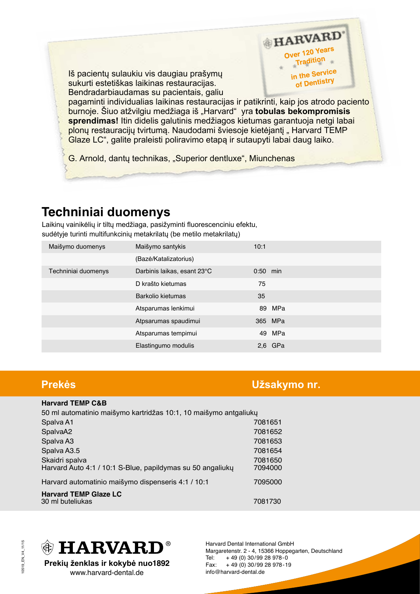Iš pacientų sulaukiu vis daugiau prašymų sukurti estetiškas laikinas restauracijas. Bendradarbiaudamas su pacientais, galiu

pagaminti individualias laikinas restauracijas ir patikrinti, kaip jos atrodo paciento burnoje. Šiuo atžvilgiu medžiaga iš "Harvard" yra **tobulas bekompromisis sprendimas!** Itin didelis galutinis medžiagos kietumas garantuoja netgi labai plonų restauracijų tvirtumą. Naudodami šviesoje kietėjantį "Harvard TEMP Glaze LC", galite praleisti poliravimo etapą ir sutaupyti labai daug laiko.

G. Arnold, dantų technikas, "Superior dentluxe", Miunchenas

### **Techniniai duomenys**

Laikinų vainikėlių ir tiltų medžiaga, pasižyminti fluorescenciniu efektu, sudėtyje turinti multifunkcinių metakrilatų (be metilo metakrilatų)

| Maišymo duomenys    | Maišymo santykis            | 10:1       |         |
|---------------------|-----------------------------|------------|---------|
|                     | (Bazė/Katalizatorius)       |            |         |
| Techniniai duomenys | Darbinis laikas, esant 23°C | $0:50$ min |         |
|                     | D krašto kietumas           | 75         |         |
|                     | Barkolio kietumas           | 35         |         |
|                     | Atsparumas lenkimui         | 89         | MPa     |
|                     | Atpsarumas spaudimui        |            | 365 MPa |
|                     | Atsparumas tempimui         | 49         | MPa     |
|                     | Elastingumo modulis         | 2,6        | GPa     |

### **Prekės Užsakymo nr.**

HARVARD' Over 120 Years ver l<sub>zu</sub>. in the Service of Dentistry

### **Harvard TEMP C&B**  50 ml automatinio maišymo kartridžas 10:1, 10 maišymo antgaliukų Spalva A1 7081651 SpalvaA2 7081652 Spalva A3 7081653 Spalva A3.5 7081654 Skaidri spalva 7081650 Harvard Auto 4:1 / 10:1 S-Blue, papildymas su 50 angaliukų Harvard automatinio maišymo dispenseris 4:1 / 10:1 7095000 **Harvard TEMP Glaze LC**  30 ml buteliukas 7081730



**Prekių ženklas ir kokybė nuo1892** www.harvard-dental.de

Harvard Dental International GmbH Margaretenstr. 2 - 4, 15366 Hoppegarten, Deutschland Tel: + 49 (0) 30/99 28 978-0 Fax: + 49 (0) 30/99 28 978-19 info@harvard-dental.de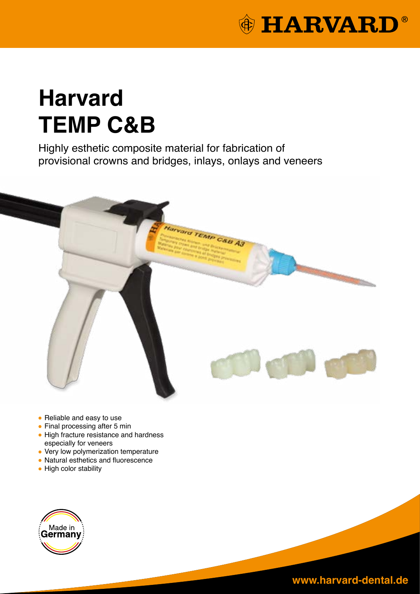

# **Harvard TEMP C&B**

Highly esthetic composite material for fabrication of provisional crowns and bridges, inlays, onlays and veneers



- Reliable and easy to use
- Final processing after 5 min
- High fracture resistance and hardness especially for veneers
- Very low polymerization temperature
- Natural esthetics and fluorescence
- High color stability

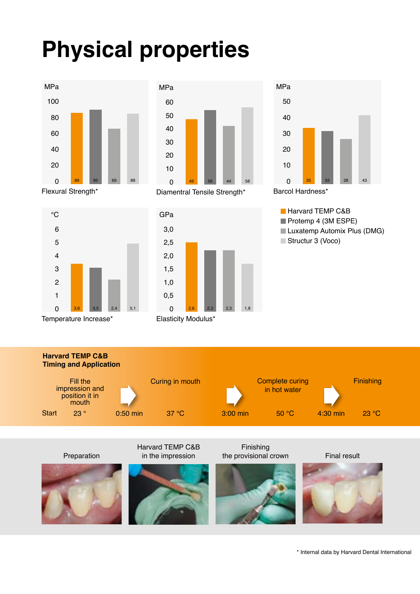# **Physical properties**



°C



Diamentral Tensile Strength\*



Elasticity Modulus\*

Harvard TEMP C&B in the impression





**Harvard TEMP C&B Timing and Application** Start 23 ° 0:50 min 37 °C 3:00 min 50 °C 4:30 min Curing in mouth 50 °C Complete curing in hot water 23 ° Fill the impression and position it in mouth



Finishing

the provisional crown Final result



23 °C

Preparation



\* Internal data by Harvard Dental International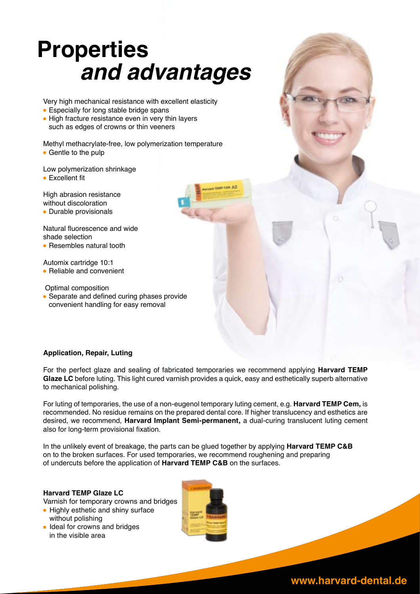# **Properties** *and advantages*

Very high mechanical resistance with excellent elasticity

- Especially for long stable bridge spans
- High fracture resistance even in very thin layers such as edges of crowns or thin veeners

Methyl methacrylate-free, low polymerization temperature

• Gentle to the pulp

Low polymerization shrinkage

**• Excellent fit** 

High abrasion resistance without discoloration

• Durable provisionals

Natural fluorescence and wide shade selection

• Resembles natural tooth

Automix cartridge 10:1 • Reliable and convenient

 Optimal composition • Separate and defined curing phases provide convenient handling for easy removal

### **Application, Repair, Luting**

For the perfect glaze and sealing of fabricated temporaries we recommend applying **Harvard TEMP Glaze LC** before luting. This light cured varnish provides a quick, easy and esthetically superb alternative to mechanical polishing.

For luting of temporaries, the use of a non-eugenol temporary luting cement, e.g. **Harvard TEMP Cem,** is recommended. No residue remains on the prepared dental core. If higher translucency and esthetics are desired, we recommend, **Harvard Implant Semi-permanent,** a dual-curing translucent luting cement also for long-term provisional fixation.

In the unlikely event of breakage, the parts can be glued together by applying **Harvard TEMP C&B** on to the broken surfaces. For used temporaries, we recommend roughening and preparing of undercuts before the application of **Harvard TEMP C&B** on the surfaces.

### **Harvard TEMP Glaze LC**

Varnish for temporary crowns and bridges

- Highly esthetic and shiny surface without polishing
- Ideal for crowns and bridges in the visible area

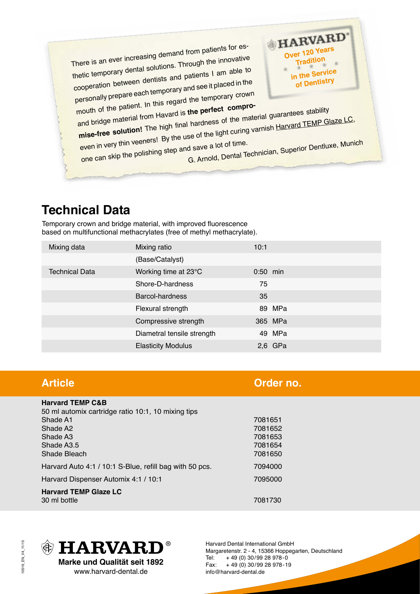There is an ever increasing demand from patients for esthetic temporary dental solutions. Through the innovative cooperation between dentists and patients I am able to personally prepare each temporary and see it placed in the mouth of the patient. In this regard the temporary crown

and bridge material from Havard is **the perfect compromise-free solution!** The high final hardness of the material guarantees stability even in very thin veeners! By the use of the light curing varnish Harvard TEMP Glaze LC, one can skip the polishing step and save a lot of time. G. Arnold, Dental Technician, Superior Dentluxe, Munich

HARVARD' Over 120 Years ar 120 : Tradition in the Service of Dentistry

## **Technical Data**

Temporary crown and bridge material, with improved fluorescence based on multifunctional methacrylates (free of methyl methacrylate).

| Mixing data           | Mixing ratio               | 10:1       |
|-----------------------|----------------------------|------------|
|                       | (Base/Catalyst)            |            |
| <b>Technical Data</b> | Working time at 23°C       | $0:50$ min |
|                       | Shore-D-hardness           | 75         |
|                       | Barcol-hardness            | 35         |
|                       | Flexural strength          | 89 MPa     |
|                       | Compressive strength       | 365 MPa    |
|                       | Diametral tensile strength | 49 MPa     |
|                       | <b>Elasticity Modulus</b>  | $2,6$ GPa  |

## **Article Order no.**

| <b>Harvard TEMP C&amp;B</b>                             |         |
|---------------------------------------------------------|---------|
| 50 ml automix cartridge ratio 10:1, 10 mixing tips      |         |
| Shade A1                                                | 7081651 |
| Shade A <sub>2</sub>                                    | 7081652 |
| Shade A <sub>3</sub>                                    | 7081653 |
| Shade A3.5                                              | 7081654 |
| Shade Bleach                                            | 7081650 |
| Harvard Auto 4:1 / 10:1 S-Blue, refill bag with 50 pcs. | 7094000 |
| Harvard Dispenser Automix 4:1 / 10:1                    | 7095000 |
| <b>Harvard TEMP Glaze LC</b>                            |         |
| 30 ml bottle                                            | 7081730 |



www.harvard-dental.de

Harvard Dental International GmbH Margaretenstr. 2 - 4, 15366 Hoppegarten, Deutschland Tel: + 49 (0) 30/99 28 978-0 Fax: + 49 (0) 30/99 28 978-19 info@harvard-dental.de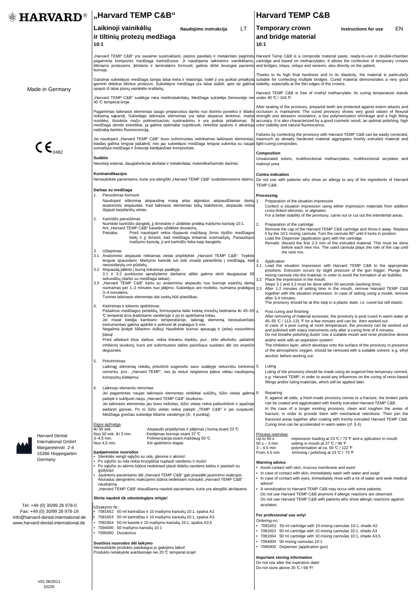| Margaretenstr. 2-4 |  |  |  |  |
|--------------------|--|--|--|--|
| 15366 Hoppegarten  |  |  |  |  |
|                    |  |  |  |  |

Germany

Tel: +49 (0) 30/99 28 978-0 Fax: +49 (0) 30/99 28 978-19 info@harvard-dental-international.de www.harvard-dental-international.de

- Stenkitės vengti sąlyčio su oda, gleivine ir akimis!
- Po sąlyčio su oda reikia kruopščiai nuplauti vandeniu ir muilu!
- Po sąlyčio su akimis būtina nedelsiant plauti dideliu vandens kiekiu ir pasitarti su gydytoju!
- Jautriems pacientams dėl "Harvard TEMP C&B" gali prasidėti jautrinimo reakcijos. Atsiradus alerginėms reakcijoms būtina nedelsiant nutraukti "Harvard TEMP C&B" naudojimą.

"Harvard TEMP C&B" draudžiama naudoti pacientams, kurie yra alergiški akrilatams.

Nenaudokite produkto pasibaigus jo galiojimo laikui! Produkto nelaikykite aukštesnėje nei 20 ℃ temperat ūroje!  $3 - 4.5$  min<br>From 4.5 min trimming / polishing at 23  $C$  / 73  $F$ 

### Į**sp**÷**jamosios nuorodos**

| <b><sup>俞</sup> HARVARD<sup>®</sup></b>     | "Harvard TEMP C&B"                                                                                                                                                                                                                                                                                                                                                                      |                                                         |                                                                                                                                                                                                                                                                                                                                                                                                                                              |           |                                                                                       | <b>Harvard TEMP C&amp;B</b>                                                                                                                                                                                                                                                                                                                                                                                                                                                                                                                                                                                                                                                                                                                                                          |                                                                                   |     |
|---------------------------------------------|-----------------------------------------------------------------------------------------------------------------------------------------------------------------------------------------------------------------------------------------------------------------------------------------------------------------------------------------------------------------------------------------|---------------------------------------------------------|----------------------------------------------------------------------------------------------------------------------------------------------------------------------------------------------------------------------------------------------------------------------------------------------------------------------------------------------------------------------------------------------------------------------------------------------|-----------|---------------------------------------------------------------------------------------|--------------------------------------------------------------------------------------------------------------------------------------------------------------------------------------------------------------------------------------------------------------------------------------------------------------------------------------------------------------------------------------------------------------------------------------------------------------------------------------------------------------------------------------------------------------------------------------------------------------------------------------------------------------------------------------------------------------------------------------------------------------------------------------|-----------------------------------------------------------------------------------|-----|
|                                             | Laikinoji vainikėlių<br>ir tiltinių protezų medžiaga<br>10:1                                                                                                                                                                                                                                                                                                                            |                                                         | Naudojimo instrukcija                                                                                                                                                                                                                                                                                                                                                                                                                        | <b>LT</b> | 10:1                                                                                  | <b>Temporary crown</b><br>and bridge material                                                                                                                                                                                                                                                                                                                                                                                                                                                                                                                                                                                                                                                                                                                                        | Instructions for use                                                              | EN. |
|                                             | burnoje.                                                                                                                                                                                                                                                                                                                                                                                |                                                         |                                                                                                                                                                                                                                                                                                                                                                                                                                              |           |                                                                                       | "Harvard TEMP C&B" yra savaime susimaišanti, pastos pavidalo ir metakrilato pagrindu Harvard Temp C&B is a composite material paste, ready-to-use in double-chamber<br>pagaminta kompozito medžiaga kartridžuose. Ji naudojama laikiniems vainikėliams, cartridge and based on methacrylates. It allows the confection of temporary crowns<br>tiltiniams protezams, <i>iklotams ir laminatems formuoti</i> ; galima dirbti tiesiogiai paciento and bridges, inlays, onlays and veneers, also directly on the patient.                                                                                                                                                                                                                                                                |                                                                                   |     |
| Made in Germany                             | Galutinai sukietėjusi medžiaga tampa labai kieta ir elastinga, todėl ji yra puikiai pritaikyta suitable for confecting multiple bridges. Cured material demonstrates a very good<br>gaminti didelius tiltinius protezus. Sukietėjusi medžiaga yra labai stabili; apie tai galima stability, especially at the thin edges of the crowns.<br>spręsti iš labai plonų vainikėlio kraštelių. |                                                         |                                                                                                                                                                                                                                                                                                                                                                                                                                              |           | Thanks to its high final hardness and to its elasticity, the material is particularly |                                                                                                                                                                                                                                                                                                                                                                                                                                                                                                                                                                                                                                                                                                                                                                                      |                                                                                   |     |
|                                             | "Harvard TEMP C&B" sudėtyje nėra metilmetakrilatų. Medžiaga sukietėja žemesnėje nei under 40 °C / 104 °F.<br>40 °C temperat ūroje.                                                                                                                                                                                                                                                      |                                                         |                                                                                                                                                                                                                                                                                                                                                                                                                                              |           | Harvard TEMP C&B is free of methyl methacrylate. Its curing temperature stands        |                                                                                                                                                                                                                                                                                                                                                                                                                                                                                                                                                                                                                                                                                                                                                                                      |                                                                                   |     |
|                                             | natūralią danties fluorescenciją.                                                                                                                                                                                                                                                                                                                                                       |                                                         | nusidėvi, išsiskiria mažu polimerizaciniu susitraukimu ir yra puikiai pritaikomas. Ši<br>medžiaga atrodo estetiškai, ją galima optimaliai nupoliruoti, nekeičia spalvos ir atkartoja color stability and natural fluorescence.                                                                                                                                                                                                               |           |                                                                                       | After seating of the provisory, prepared teeth are protected against extern attacks and<br>Pagamintas laikinasis elementas saugo preparuotus dantis nuo išorinio poveikio ir išlaiko occlusion is maintained. The cured provisory shows very good values of flexural<br>reikiamą sąkandį. Sukietėjęs laikinasis elementas yra labai atsparus lenkimui, mažai strength and abrasion resistance, a low polymerization shrinkage and a high fitting<br>accuracy. It is also characterized by a good cosmetic result, an optimal polishing, high                                                                                                                                                                                                                                         |                                                                                   |     |
| $\mathsf{CE}_{\mathsf{0482}}$               | sumaišyta medžiaga ir šviesoje kietėjančiais kompozitais.                                                                                                                                                                                                                                                                                                                               |                                                         | klaidas galima lengvai pašalinti, nes jau sukietėjusi medžiaga lengvai sukimba su naujai light-curing composites.                                                                                                                                                                                                                                                                                                                            |           |                                                                                       | Failures by confecting the provisory with Harvard TEMP C&B can be easily corrected,<br>Jei naudojant "Harvard TEMP C&B" buvo suformuotas netinkamas laikinasis elementas, inasmuch as already hardened material aggregates freshly extruded material and                                                                                                                                                                                                                                                                                                                                                                                                                                                                                                                             |                                                                                   |     |
|                                             | <b>Sudėtis</b>                                                                                                                                                                                                                                                                                                                                                                          |                                                         | Nesotieji esteriai, daugiafunkciai akrilatai ir metakrilatai, malonilkarbamido dariniai.                                                                                                                                                                                                                                                                                                                                                     |           | <b>Composition</b><br>malonyl urea.                                                   | Unsaturated esters, multifunctional methacrylates, multifunctional acrylates and                                                                                                                                                                                                                                                                                                                                                                                                                                                                                                                                                                                                                                                                                                     |                                                                                   |     |
|                                             | Kontraindikacijos                                                                                                                                                                                                                                                                                                                                                                       |                                                         | Nenaudokite pacientams, kurie yra alergiški "Harvard TEMP C&B" sudedamosioms dalims.                                                                                                                                                                                                                                                                                                                                                         |           | <b>Contra indication</b><br>TEMP C&B.                                                 | Do not use with patients who show an allergy to any of the ingredients of Harvard                                                                                                                                                                                                                                                                                                                                                                                                                                                                                                                                                                                                                                                                                                    |                                                                                   |     |
|                                             | Darbas su medžiaga<br>Paruošimas formuoti<br>1.                                                                                                                                                                                                                                                                                                                                         |                                                         |                                                                                                                                                                                                                                                                                                                                                                                                                                              |           | Processing                                                                            |                                                                                                                                                                                                                                                                                                                                                                                                                                                                                                                                                                                                                                                                                                                                                                                      |                                                                                   |     |
|                                             | išpjauti tarpdančių vietas.                                                                                                                                                                                                                                                                                                                                                             |                                                         | Naudojant silikoninę atspaudinę masę arba alginatus atspaudžiamas dantų 1.<br>anatominis atspaudas. Kad laikinasis elementas būtų stabilesnis, atspaude reikia                                                                                                                                                                                                                                                                               |           |                                                                                       | Preparation of the situation impression<br>Confect a situation impression using either impression materials from addition<br>cross-linked silicones, or alginates.<br>For a better stability of the provisory, carve out or cut out the interdental areas.                                                                                                                                                                                                                                                                                                                                                                                                                                                                                                                           |                                                                                   |     |
|                                             | Kartridžo paruošimas<br>2.<br>Ant "Harvard TEMP C&B" kasetės uždėkite dozatorių.<br>Pastaba.<br>Užtepimas<br>3.                                                                                                                                                                                                                                                                         |                                                         | Nuimkite kartridžo dangtelį, jį išmeskite ir uždėkite pridėtą maišymo kaniulę 10:1.<br>Prieš naudojant reikia išspausti maždaug žirnio dydžio medžiagos<br>kiekį ir jį išmesti, kad medžiaga tinkamai susimaišytų. Panaudojus<br>maišymo kaniulę, ji ant kartridžo lieka kaip dangtelis.                                                                                                                                                     |           | 2.                                                                                    | Preparation of the cartridge<br>Remove the cap of the Harvard TEMP C&B cartridge and throw it away. Replace<br>it by the 10:1 mixing cannula. Turn the cannula 90° until it locks in position.<br>Load the Dispenser (application gun) with the cartridge.<br>Remark: discard the first 2-3 mm of the extruded material. This must be done<br>before each new mix. The used cannula plays the role of the cap until<br>the next mix.                                                                                                                                                                                                                                                                                                                                                 |                                                                                   |     |
|                                             | nesusidarytų oro pūslelių.<br>3.2 Atspaudą įdėkite į burną tinkamoje padėtyje.<br>sekundžių (darbo su medžiaga laikas).<br>3-4 minutėms.<br>Tuomet laikinasis elementas dar turėtų būti plastiškas.                                                                                                                                                                                     |                                                         | 3.1 Anatominio atspaudo reikiamas vietas pripildykite "Harvard TEMP C&B". Tepkite<br>lengvai spausdami. Maišymo kaniulė turi būti visada panardinta į medžiagą, kad 3.<br>3.1 ir 3.2 punktuose aprašytiems darbams atlikti galima skirti daugiausiai 50<br>3.3 "Harvard TEMP C&B" kartu su anatominiu atspaudu nuo burnoje esančių dantų                                                                                                     |           |                                                                                       | Application<br>3.1 Load the situation impression with Harvard TEMP C&B to the appropriate<br>positions. Extrusion occurs by slight pressure of the gun trigger. Plunge the<br>mixing cannula into the material, in order to avoid the formation of air bubbles.<br>3.2 Place the impression in the mouth.<br>Steps 3.1 and 3.2 must be done within 50 seconds (working time).<br>nuimamas per 1-2 minutes nuo idejimo. Sukietejus ant modelio, nuimama prabegus 3.3 After 1-2 minutes of setting time in the mouth, remove Harvard TEMP C&B<br>together with the situation impression. In case of setting using a model, remove<br>after 3-4 minutes.                                                                                                                                |                                                                                   |     |
|                                             | Kietinimas ir tolesnis apdirbimas<br>4.<br>C temperat ūros įkaitintame vandenyje ir po to apdirbama toliau.<br>instrumentais galima apdirbti ir poliruoti tik prabėgus 6 min.<br>jtaisą!<br>deguonies.                                                                                                                                                                                  |                                                         | Pašalinus medžiagos perteklių, formuojama dalis keletą minučių kietinama iki 45-55 4.<br>Jei masė kietėja kambario temperatūroje, laikinąjį elementą besisukančiais<br>Negalima įkvėpti šlifavimo dulkių! Naudokite burnos apsaugą ir (arba) nusiurbimo<br>Prieš atliekant kitus darbus, reikia tinkamu tirpikliu, pvz., etilo alkoholiu, pašalinti<br>inhibicinį sluoksnį, kuris ant suformuotos dalies paviršiaus susidaro dėl ore esančio |           |                                                                                       | The provisory should be at this step in a plastic state, i.e. cured but still elastic.<br>Post curing and finishing<br>After removing of material excesses, the provisory is post cured in warm water at<br>45–55 ℃ / 113–131 F for a few minutes and can be then worked out.<br>In case of a post curing at room temperature, the provisory can be worked out<br>and polished with rotary instruments only after a curing time of 6 minutes.<br>Do not breathe polishing dusts! Use a suitable mouth and nose protective device<br>and/or work with an aspiration system!<br>The inhibition layer, which develops onto the surface of the provisory in presence<br>of the atmospheric oxygen, should be removed with a suitable solvent, e.g. ethyl<br>alcohol, before working out. |                                                                                   |     |
|                                             | 5.<br>Pritvirtinimas<br>kompozity kietėjimui.                                                                                                                                                                                                                                                                                                                                           |                                                         | Laikinąjį elementą reikėtų pritvirtinti eugenolio savo sudėtyje neturinčiu tvirtinimo 5.<br>cementu, pvz., "Harvard TEMP", nes jis neturi neigiamos įtakos vėliau naudojamų                                                                                                                                                                                                                                                                  |           | Luting                                                                                | Luting of the provisory should be made using an eugenol-free temporary cement,<br>e.g. Harvard TEMP, in order to avoid any influences on the curing of resin-based<br>fillings and/or luting materials, which will be applied later.                                                                                                                                                                                                                                                                                                                                                                                                                                                                                                                                                 |                                                                                   |     |
|                                             | Laikinojo elemento remontas<br>6.<br>patepti ir suklijuoti nauju "Harvard TEMP C&B" sluoksniu.<br>Medžiaga greičiau sukietėja šiltame vandenyje (žr. 4 punktą).                                                                                                                                                                                                                         |                                                         | Jei pagamintas naujas laikinasis elementas netikėtai sulūžtų, lūžio vietas galima 6.<br>Jei laikinasis elementas jau buvo nešiotas, lūžio vietas reikia pašiurkštinti ir apačioje<br>padaryti įpjovas. Po to lūžio vietas reikia patepti "TEMP C&B" ir jas suspausti.                                                                                                                                                                        |           | Repairing                                                                             | If, against all odds, a fresh-made provisory comes to a fracture, the broken parts<br>can be coated and agglutinated with freshly extruded Harvard TEMP C&B.<br>In the case of a longer existing provisory, clean and roughen the areas of<br>fracture, in order to provide them with mechanical retentions. Then join the<br>fractured areas together after coating with freshly extruded Harvard TEMP C&B.                                                                                                                                                                                                                                                                                                                                                                         |                                                                                   |     |
| <b>Harvard Dental</b><br>International GmbH | Eigos apžvalga<br>Iki 50 sek.<br>Nuo 50 sek. iki 3 min.<br>$3 - 4.5$ min.<br>Nuo 4,5 min.                                                                                                                                                                                                                                                                                               | Kietėjimas burnoje esant 37 °C<br>Kiti apdirbimo etapai | Atspaudo pripildymas ir įdėjimas į burną esant 23 °C<br>Polimerizacija esant maždaug 50 °C                                                                                                                                                                                                                                                                                                                                                   |           | Process overview:<br>Up to 50 s<br>$50 s - 3 min$                                     | Curing time can be accelerated in warm water (cf. § 4).<br>setting in mouth at 37 ℃ / 99 F                                                                                                                                                                                                                                                                                                                                                                                                                                                                                                                                                                                                                                                                                           | impression loading at 23 $\mathbb{C}$ / 73 $\mathbb{F}$ and a pplication in mouth |     |

### **Skirta naudoti tik odontologijos srityje!**

Užsakymo Nr.:

- 7081652 50 ml kartridžas ir 10 maišymo kaniulių 10:1, spalva A2
- 7081653 50 ml kartridžas ir 10 maišymo kaniulių 10:1, spalva A3
- $\bullet$  7081654 50 ml kasetė ir 10 maišymo kaniulių 10:1, spalva A3,5
- 7094000 50 maišymo kaniulių 10:1
- 7095000 Dozatorius

Do not use after the expiration date! Do not store above 20  $\mathbb{C}$  / 68  $\mathbb{F}!$ 

### **Svarbios nuorodos d**÷**l laikymo**

### **Warning advice**

- Avoid contact with skin, mucous membrane and eyes!
- In case of contact with skin, immediately wash with water and soap!
- In case of contact with eyes, immediately rinse with a lot of water and seek medical advice!
- A sensitization to Harvard TEMP C&B may occur with some patients. Do not use Harvard TEMP C&B anymore if allergic reactions are observed. Do not use Harvard TEMP C&B with patients who show allergic reactions against acrylates.

### **For professional use only!**

Ordering-no.:

- 7081652 50 ml cartridge with 10 mixing cannulas 10:1, shade A2
- 7081653 50 ml cartridge with 10 mixing cannulas 10:1, shade A3
- 7081654 50 ml cartridge with 10 mixing cannulas 10:1, shade A3,5
- 7094000 50 mixing cannulas 10:1
- 7095000 Dispenser (application gun)

### **Important storing information**